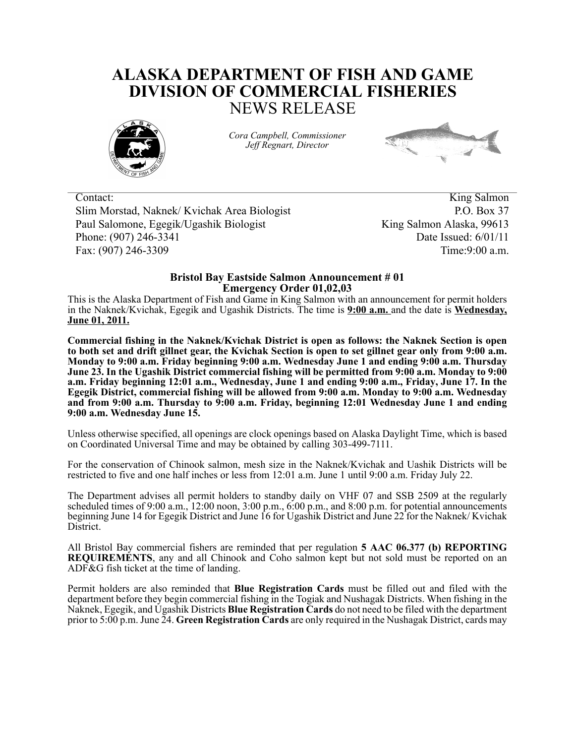## **ALASKA DEPARTMENT OF FISH AND GAME DIVISION OF COMMERCIAL FISHERIES** NEWS RELEASE



*Cora Campbell, Commissioner Jeff Regnart, Director*



Contact: King Salmon Slim Morstad, Naknek/ Kvichak Area Biologist P.O. Box 37 Paul Salomone, Egegik/Ugashik Biologist King Salmon Alaska, 99613 Phone: (907) 246-3341 Date Issued: 6/01/11 Fax: (907) 246-3309 Time: 9:00 a.m.

## **Bristol Bay Eastside Salmon Announcement # 01 Emergency Order 01,02,03**

This is the Alaska Department of Fish and Game in King Salmon with an announcement for permit holders in the Naknek/Kvichak, Egegik and Ugashik Districts. The time is **9:00 a.m.** and the date is **Wednesday, June 01, 2011.**

**Commercial fishing in the Naknek/Kvichak District is open as follows: the Naknek Section is open to both set and drift gillnet gear, the Kvichak Section is open to set gillnet gear only from 9:00 a.m. Monday to 9:00 a.m. Friday beginning 9:00 a.m. Wednesday June 1 and ending 9:00 a.m. Thursday June 23. In the Ugashik District commercial fishing will be permitted from 9:00 a.m. Monday to 9:00 a.m. Friday beginning 12:01 a.m., Wednesday, June 1 and ending 9:00 a.m., Friday, June 17. In the Egegik District, commercial fishing will be allowed from 9:00 a.m. Monday to 9:00 a.m. Wednesday and from 9:00 a.m. Thursday to 9:00 a.m. Friday, beginning 12:01 Wednesday June 1 and ending 9:00 a.m. Wednesday June 15.**

Unless otherwise specified, all openings are clock openings based on Alaska Daylight Time, which is based on Coordinated Universal Time and may be obtained by calling 303-499-7111.

For the conservation of Chinook salmon, mesh size in the Naknek/Kvichak and Uashik Districts will be restricted to five and one half inches or less from 12:01 a.m. June 1 until 9:00 a.m. Friday July 22.

The Department advises all permit holders to standby daily on VHF 07 and SSB 2509 at the regularly scheduled times of 9:00 a.m., 12:00 noon, 3:00 p.m., 6:00 p.m., and 8:00 p.m. for potential announcements beginning June 14 for Egegik District and June 16 for Ugashik District and June 22 for the Naknek/ Kvichak District.

All Bristol Bay commercial fishers are reminded that per regulation **5 AAC 06.377 (b) REPORTING REQUIREMENTS**, any and all Chinook and Coho salmon kept but not sold must be reported on an ADF&G fish ticket at the time of landing.

Permit holders are also reminded that **Blue Registration Cards** must be filled out and filed with the department before they begin commercial fishing in the Togiak and Nushagak Districts. When fishing in the Naknek, Egegik, and Ugashik Districts **Blue Registration Cards** do not need to be filed with the department prior to 5:00 p.m. June 24. **Green Registration Cards** are only required in the Nushagak District, cards may